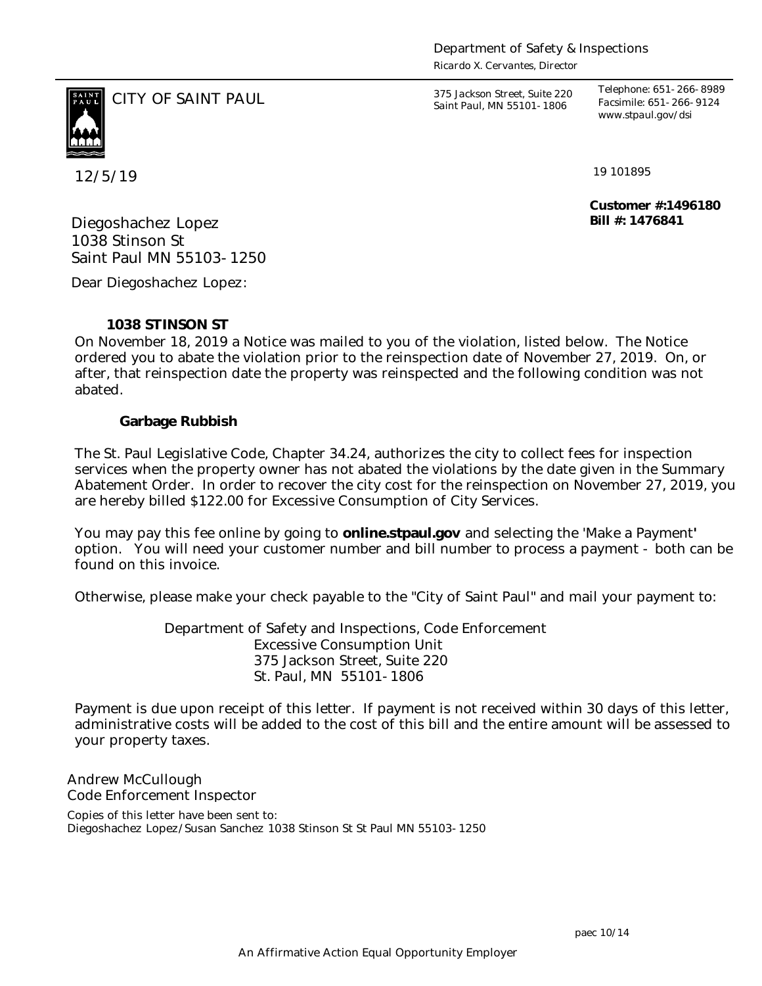*Ricardo X. Cervantes, Director*



12/5/19

CITY OF SAINT PAUL *375 Jackson Street, Suite 220 Saint Paul, MN 55101-1806*

*Telephone: 651-266-8989 Facsimile: 651-266-9124 www.stpaul.gov/dsi*

19 101895

**Customer #:1496180 Bill #: 1476841**

Diegoshachez Lopez 1038 Stinson St Saint Paul MN 55103-1250

Dear Diegoshachez Lopez:

**1038 STINSON ST**

On November 18, 2019 a Notice was mailed to you of the violation, listed below. The Notice ordered you to abate the violation prior to the reinspection date of November 27, 2019. On, or after, that reinspection date the property was reinspected and the following condition was not abated.

**Garbage Rubbish**

The St. Paul Legislative Code, Chapter 34.24, authorizes the city to collect fees for inspection services when the property owner has not abated the violations by the date given in the Summary Abatement Order. In order to recover the city cost for the reinspection on November 27, 2019, you are hereby billed \$122.00 for Excessive Consumption of City Services.

You may pay this fee online by going to **online.stpaul.gov** and selecting the 'Make a Payment**'** option. You will need your customer number and bill number to process a payment - both can be found on this invoice.

Otherwise, please make your check payable to the "City of Saint Paul" and mail your payment to:

Department of Safety and Inspections, Code Enforcement Excessive Consumption Unit 375 Jackson Street, Suite 220 St. Paul, MN 55101-1806

Payment is due upon receipt of this letter. If payment is not received within 30 days of this letter, administrative costs will be added to the cost of this bill and the entire amount will be assessed to your property taxes.

Andrew McCullough Code Enforcement Inspector

Copies of this letter have been sent to: Diegoshachez Lopez/Susan Sanchez 1038 Stinson St St Paul MN 55103-1250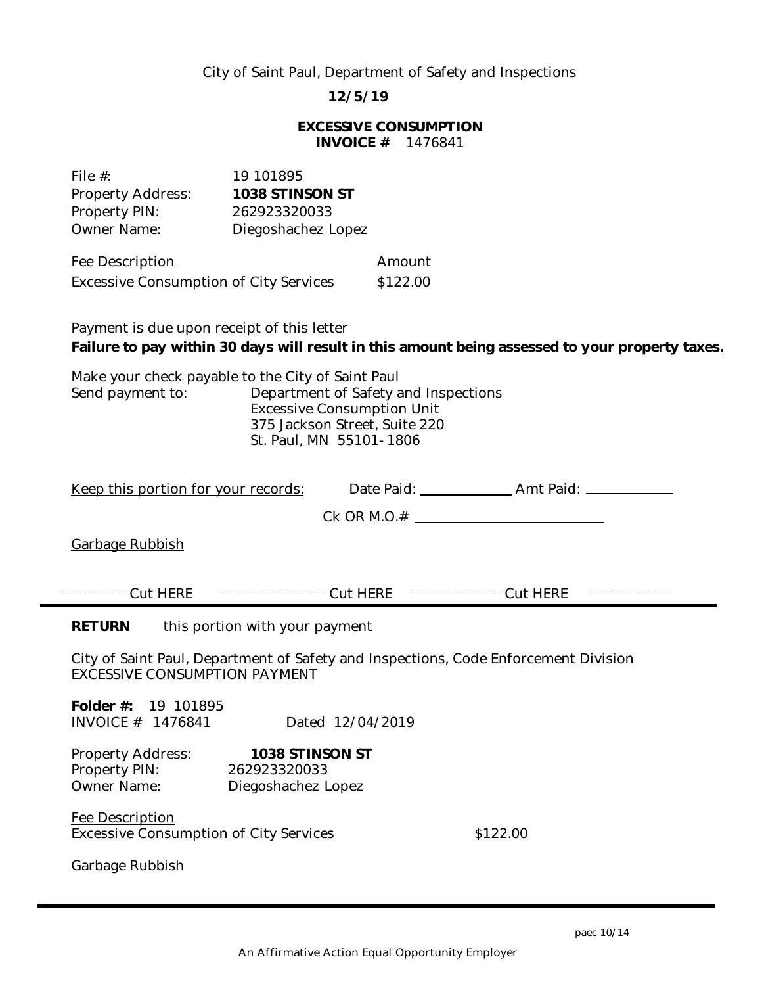## City of Saint Paul, Department of Safety and Inspections

**12/5/19**

## **EXCESSIVE CONSUMPTION INVOICE #** 1476841

| File $#$ :                                    | 19 101895          |          |
|-----------------------------------------------|--------------------|----------|
| Property Address:                             | 1038 STINSON ST    |          |
| Property PIN:                                 | 262923320033       |          |
| <b>Owner Name:</b>                            | Diegoshachez Lopez |          |
| Fee Description                               |                    | Amount   |
| <b>Excessive Consumption of City Services</b> |                    | \$122.00 |

Payment is due upon receipt of this letter **Failure to pay within 30 days will result in this amount being assessed to your property taxes.**

Make your check payable to the City of Saint Paul Send payment to: Department of Safety and Inspections Excessive Consumption Unit 375 Jackson Street, Suite 220 St. Paul, MN 55101-1806

| <u>Keep this portion for your records:</u>                                                                                  |  |  |
|-----------------------------------------------------------------------------------------------------------------------------|--|--|
|                                                                                                                             |  |  |
| Garbage Rubbish                                                                                                             |  |  |
|                                                                                                                             |  |  |
| <u>.</u>                                                                                                                    |  |  |
| <b>RETURN</b><br>this portion with your payment                                                                             |  |  |
| City of Saint Paul, Department of Safety and Inspections, Code Enforcement Division<br><b>EXCESSIVE CONSUMPTION PAYMENT</b> |  |  |
| Folder #: 19 101895<br>INVOICE # 1476841<br>Dated 12/04/2019                                                                |  |  |
| 1038 STINSON ST<br>Property Address:<br>Property PIN:<br>262923320033<br>Owner Name:<br>Diegoshachez Lopez                  |  |  |
| Fee Description<br>\$122.00<br><b>Excessive Consumption of City Services</b>                                                |  |  |
| Garbage Rubbish                                                                                                             |  |  |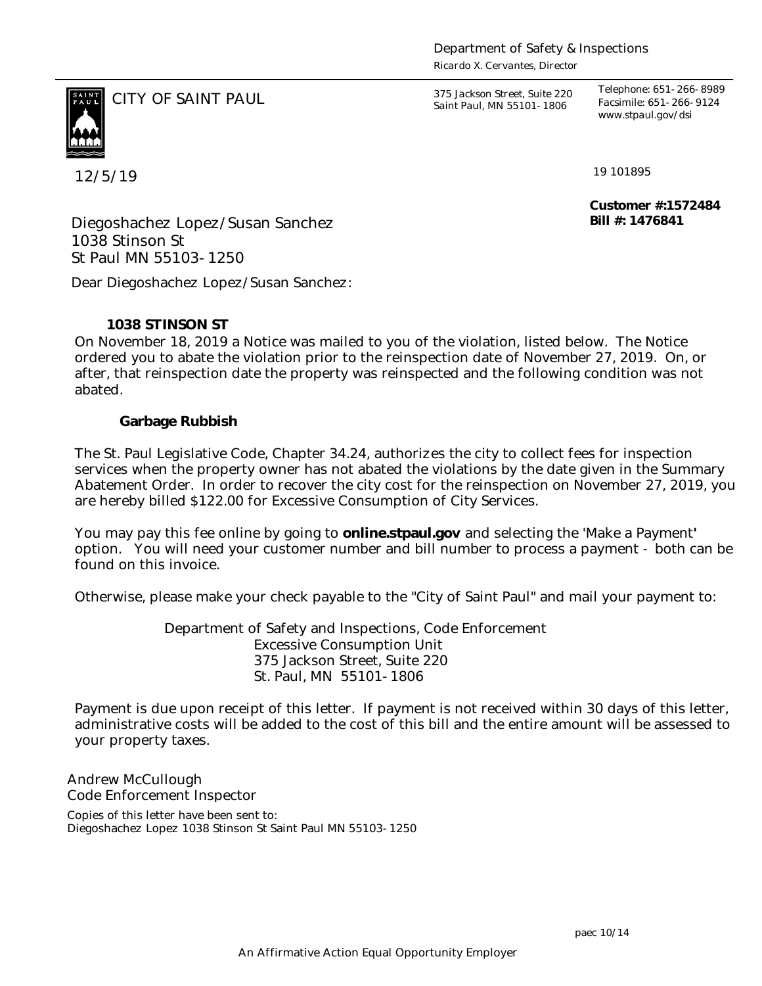*Ricardo X. Cervantes, Director*



CITY OF SAINT PAUL *375 Jackson Street, Suite 220 Saint Paul, MN 55101-1806*

*Telephone: 651-266-8989 Facsimile: 651-266-9124 www.stpaul.gov/dsi*

12/5/19

19 101895

**Customer #:1572484 Bill #: 1476841**

Diegoshachez Lopez/Susan Sanchez 1038 Stinson St St Paul MN 55103-1250

Dear Diegoshachez Lopez/Susan Sanchez:

# **1038 STINSON ST**

On November 18, 2019 a Notice was mailed to you of the violation, listed below. The Notice ordered you to abate the violation prior to the reinspection date of November 27, 2019. On, or after, that reinspection date the property was reinspected and the following condition was not abated.

## **Garbage Rubbish**

The St. Paul Legislative Code, Chapter 34.24, authorizes the city to collect fees for inspection services when the property owner has not abated the violations by the date given in the Summary Abatement Order. In order to recover the city cost for the reinspection on November 27, 2019, you are hereby billed \$122.00 for Excessive Consumption of City Services.

You may pay this fee online by going to **online.stpaul.gov** and selecting the 'Make a Payment**'** option. You will need your customer number and bill number to process a payment - both can be found on this invoice.

Otherwise, please make your check payable to the "City of Saint Paul" and mail your payment to:

Department of Safety and Inspections, Code Enforcement Excessive Consumption Unit 375 Jackson Street, Suite 220 St. Paul, MN 55101-1806

Payment is due upon receipt of this letter. If payment is not received within 30 days of this letter, administrative costs will be added to the cost of this bill and the entire amount will be assessed to your property taxes.

Andrew McCullough Code Enforcement Inspector

Copies of this letter have been sent to: Diegoshachez Lopez 1038 Stinson St Saint Paul MN 55103-1250